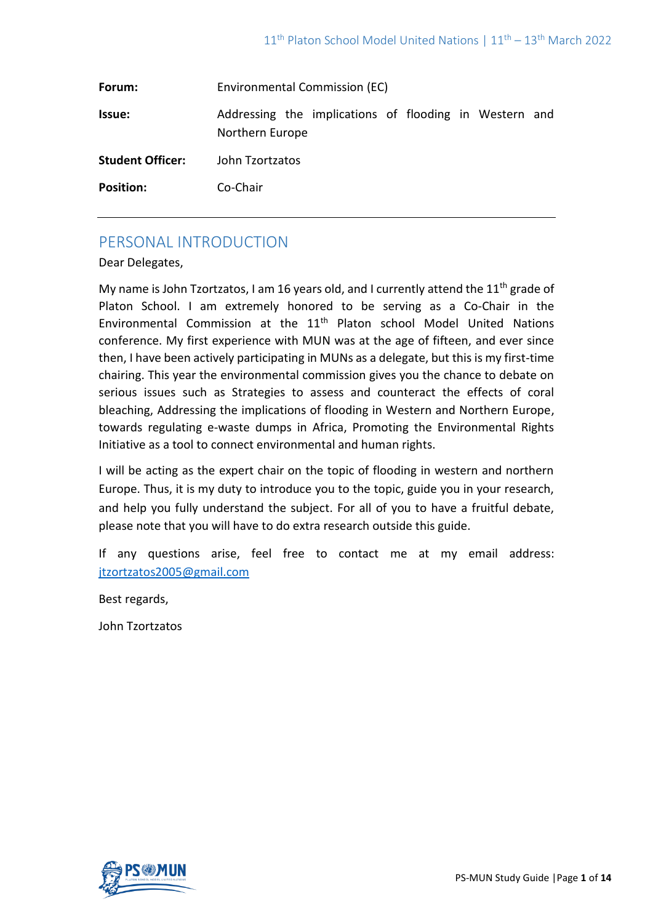| Forum:                  | Environmental Commission (EC)                                             |
|-------------------------|---------------------------------------------------------------------------|
| <b>Issue:</b>           | Addressing the implications of flooding in Western and<br>Northern Europe |
| <b>Student Officer:</b> | John Tzortzatos                                                           |
| <b>Position:</b>        | Co-Chair                                                                  |

# PERSONAL INTRODUCTION

Dear Delegates,

My name is John Tzortzatos, I am 16 years old, and I currently attend the  $11<sup>th</sup>$  grade of Platon School. I am extremely honored to be serving as a Co-Chair in the Environmental Commission at the 11th Platon school Model United Nations conference. My first experience with MUN was at the age of fifteen, and ever since then, I have been actively participating in MUNs as a delegate, but this is my first-time chairing. This year the environmental commission gives you the chance to debate on serious issues such as Strategies to assess and counteract the effects of coral bleaching, Addressing the implications of flooding in Western and Northern Europe, towards regulating e-waste dumps in Africa, Promoting the Environmental Rights Initiative as a tool to connect environmental and human rights.

I will be acting as the expert chair on the topic of flooding in western and northern Europe. Thus, it is my duty to introduce you to the topic, guide you in your research, and help you fully understand the subject. For all of you to have a fruitful debate, please note that you will have to do extra research outside this guide.

If any questions arise, feel free to contact me at my email address: [jtzortzatos2005@gmail.com](mailto:jtzortzatos2005@gmail.com)

Best regards,

John Tzortzatos

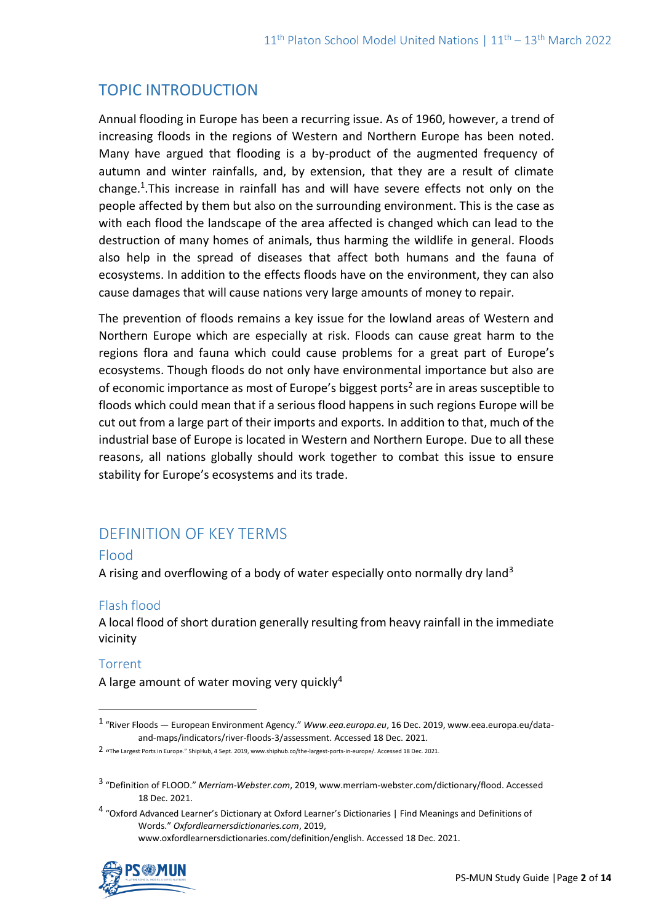# TOPIC INTRODUCTION

Annual flooding in Europe has been a recurring issue. As of 1960, however, a trend of increasing floods in the regions of Western and Northern Europe has been noted. Many have argued that flooding is a by-product of the augmented frequency of autumn and winter rainfalls, and, by extension, that they are a result of climate change.<sup>1</sup>. This increase in rainfall has and will have severe effects not only on the people affected by them but also on the surrounding environment. This is the case as with each flood the landscape of the area affected is changed which can lead to the destruction of many homes of animals, thus harming the wildlife in general. Floods also help in the spread of diseases that affect both humans and the fauna of ecosystems. In addition to the effects floods have on the environment, they can also cause damages that will cause nations very large amounts of money to repair.

The prevention of floods remains a key issue for the lowland areas of Western and Northern Europe which are especially at risk. Floods can cause great harm to the regions flora and fauna which could cause problems for a great part of Europe's ecosystems. Though floods do not only have environmental importance but also are of economic importance as most of Europe's biggest ports<sup>2</sup> are in areas susceptible to floods which could mean that if a serious flood happens in such regions Europe will be cut out from a large part of their imports and exports. In addition to that, much of the industrial base of Europe is located in Western and Northern Europe. Due to all these reasons, all nations globally should work together to combat this issue to ensure stability for Europe's ecosystems and its trade.

# DEFINITION OF KEY TERMS

# Flood

A rising and overflowing of a body of water especially onto normally dry land<sup>3</sup>

# Flash flood

A local flood of short duration generally resulting from heavy rainfall in the immediate vicinity

# Torrent

A large amount of water moving very quickly<sup>4</sup>

<sup>4</sup> "Oxford Advanced Learner's Dictionary at Oxford Learner's Dictionaries | Find Meanings and Definitions of Words." *Oxfordlearnersdictionaries.com*, 2019, www.oxfordlearnersdictionaries.com/definition/english. Accessed 18 Dec. 2021.



<sup>1</sup> "River Floods — European Environment Agency." *Www.eea.europa.eu*, 16 Dec. 2019, www.eea.europa.eu/dataand-maps/indicators/river-floods-3/assessment. Accessed 18 Dec. 2021.

<sup>2</sup> " The Largest Ports in Europe." ShipHub, 4 Sept. 2019, www.shiphub.co/the-largest-ports-in-europe/. Accessed 18 Dec. 2021.

<sup>3</sup> "Definition of FLOOD." *Merriam-Webster.com*, 2019, www.merriam-webster.com/dictionary/flood. Accessed 18 Dec. 2021.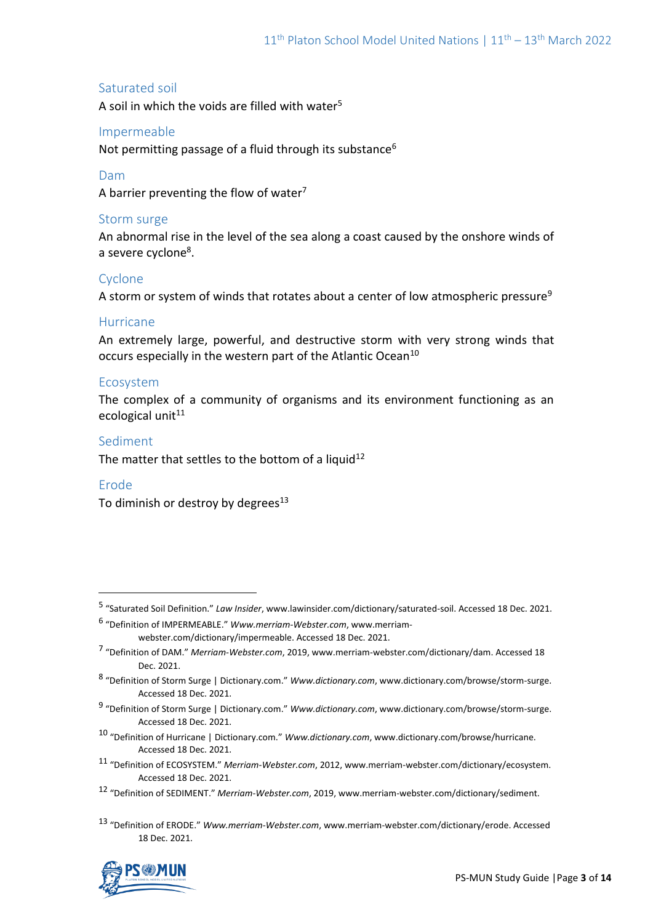# Saturated soil

A soil in which the voids are filled with water<sup>5</sup>

# Impermeable

Not permitting passage of a fluid through its substance<sup>6</sup>

# Dam

A barrier preventing the flow of water<sup>7</sup>

## Storm surge

An abnormal rise in the level of the sea along a coast caused by the onshore winds of a severe cyclone<sup>8</sup>.

# Cyclone

A storm or system of winds that rotates about a center of low atmospheric pressure<sup>9</sup>

## Hurricane

An extremely large, powerful, and destructive storm with very strong winds that occurs especially in the western part of the Atlantic Ocean<sup>10</sup>

## Ecosystem

The complex of a community of organisms and its environment functioning as an ecological unit $11$ 

## Sediment

The matter that settles to the bottom of a liquid<sup>12</sup>

## Erode

To diminish or destroy by degrees $13$ 

<sup>13</sup> "Definition of ERODE." *Www.merriam-Webster.com*, www.merriam-webster.com/dictionary/erode. Accessed 18 Dec. 2021.



<sup>5</sup> "Saturated Soil Definition." *Law Insider*, www.lawinsider.com/dictionary/saturated-soil. Accessed 18 Dec. 2021.

<sup>6</sup> "Definition of IMPERMEABLE." *Www.merriam-Webster.com*, www.merriamwebster.com/dictionary/impermeable. Accessed 18 Dec. 2021.

<sup>7</sup> "Definition of DAM." *Merriam-Webster.com*, 2019, www.merriam-webster.com/dictionary/dam. Accessed 18 Dec. 2021.

<sup>8</sup> "Definition of Storm Surge | Dictionary.com." *Www.dictionary.com*, www.dictionary.com/browse/storm-surge. Accessed 18 Dec. 2021.

<sup>9</sup> "Definition of Storm Surge | Dictionary.com." *Www.dictionary.com*, www.dictionary.com/browse/storm-surge. Accessed 18 Dec. 2021.

<sup>10</sup> "Definition of Hurricane | Dictionary.com." *Www.dictionary.com*, www.dictionary.com/browse/hurricane. Accessed 18 Dec. 2021.

<sup>11</sup> "Definition of ECOSYSTEM." *Merriam-Webster.com*, 2012, www.merriam-webster.com/dictionary/ecosystem. Accessed 18 Dec. 2021.

<sup>12</sup> "Definition of SEDIMENT." *Merriam-Webster.com*, 2019, www.merriam-webster.com/dictionary/sediment.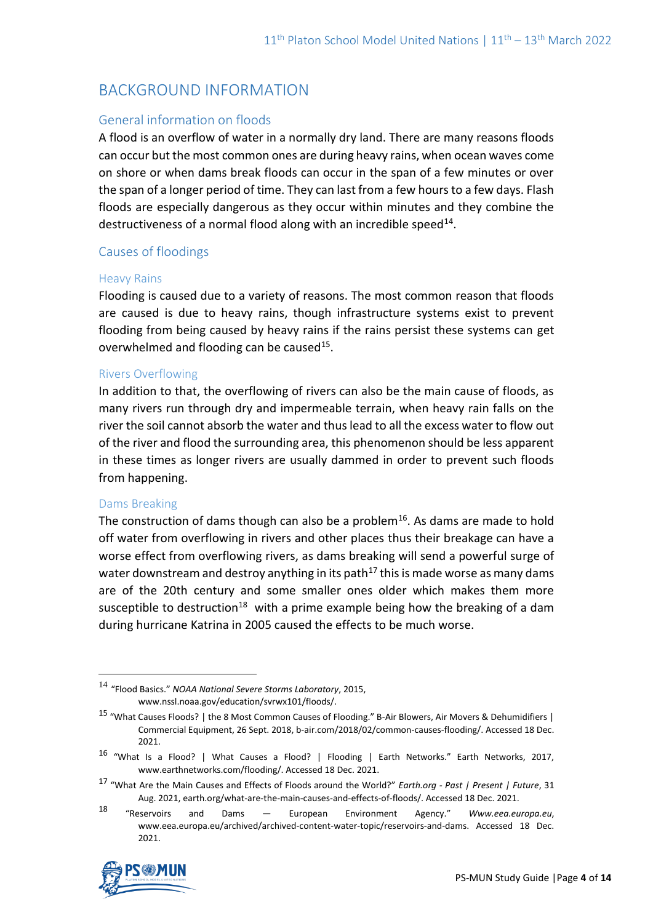# BACKGROUND INFORMATION

# General information on floods

A flood is an overflow of water in a normally dry land. There are many reasons floods can occur but the most common ones are during heavy rains, when ocean waves come on shore or when dams break floods can occur in the span of a few minutes or over the span of a longer period of time. They can last from a few hours to a few days. Flash floods are especially dangerous as they occur within minutes and they combine the destructiveness of a normal flood along with an incredible speed $^{14}$ .

# Causes of floodings

#### Heavy Rains

Flooding is caused due to a variety of reasons. The most common reason that floods are caused is due to heavy rains, though infrastructure systems exist to prevent flooding from being caused by heavy rains if the rains persist these systems can get overwhelmed and flooding can be caused<sup>15</sup>.

## Rivers Overflowing

In addition to that, the overflowing of rivers can also be the main cause of floods, as many rivers run through dry and impermeable terrain, when heavy rain falls on the river the soil cannot absorb the water and thus lead to all the excess water to flow out of the river and flood the surrounding area, this phenomenon should be less apparent in these times as longer rivers are usually dammed in order to prevent such floods from happening.

## Dams Breaking

The construction of dams though can also be a problem<sup>16</sup>. As dams are made to hold off water from overflowing in rivers and other places thus their breakage can have a worse effect from overflowing rivers, as dams breaking will send a powerful surge of water downstream and destroy anything in its path<sup>17</sup> this is made worse as many dams are of the 20th century and some smaller ones older which makes them more susceptible to destruction<sup>18</sup> with a prime example being how the breaking of a dam during hurricane Katrina in 2005 caused the effects to be much worse.

<sup>18</sup> "Reservoirs and Dams — European Environment Agency." *Www.eea.europa.eu*, www.eea.europa.eu/archived/archived-content-water-topic/reservoirs-and-dams. Accessed 18 Dec. 2021.



<sup>14</sup> "Flood Basics." *NOAA National Severe Storms Laboratory*, 2015, www.nssl.noaa.gov/education/svrwx101/floods/.

<sup>15</sup> "What Causes Floods? | the 8 Most Common Causes of Flooding." B-Air Blowers, Air Movers & Dehumidifiers | Commercial Equipment, 26 Sept. 2018, b-air.com/2018/02/common-causes-flooding/. Accessed 18 Dec. 2021.

<sup>16</sup> "What Is a Flood? | What Causes a Flood? | Flooding | Earth Networks." Earth Networks, 2017, www.earthnetworks.com/flooding/. Accessed 18 Dec. 2021.

<sup>17</sup> "What Are the Main Causes and Effects of Floods around the World?" *Earth.org - Past | Present | Future*, 31 Aug. 2021, earth.org/what-are-the-main-causes-and-effects-of-floods/. Accessed 18 Dec. 2021.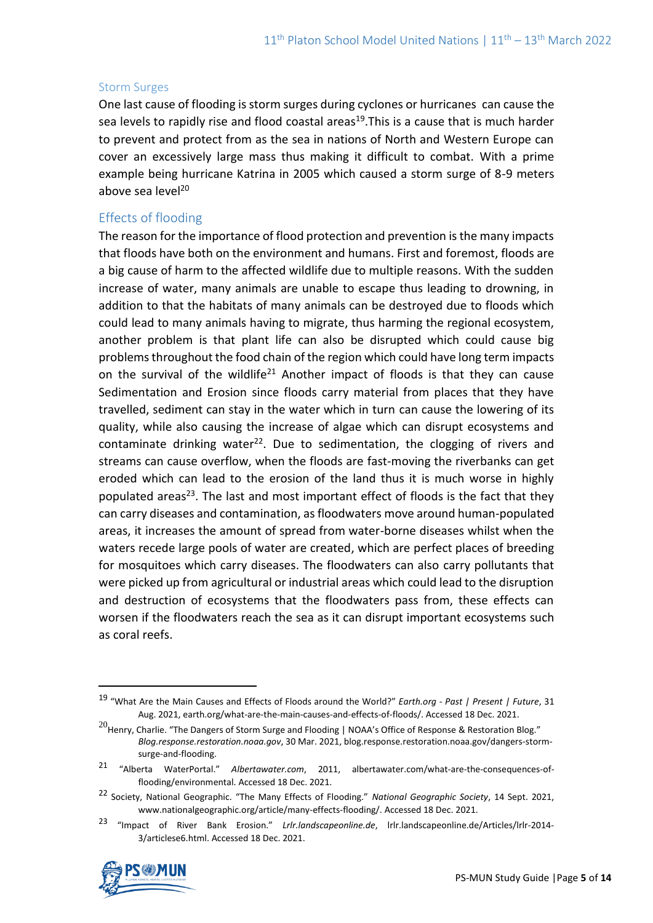#### Storm Surges

One last cause of flooding is storm surges during cyclones or hurricanes can cause the sea levels to rapidly rise and flood coastal areas<sup>19</sup>. This is a cause that is much harder to prevent and protect from as the sea in nations of North and Western Europe can cover an excessively large mass thus making it difficult to combat. With a prime example being hurricane Katrina in 2005 which caused a storm surge of 8-9 meters above sea level<sup>20</sup>

## Effects of flooding

The reason for the importance of flood protection and prevention is the many impacts that floods have both on the environment and humans. First and foremost, floods are a big cause of harm to the affected wildlife due to multiple reasons. With the sudden increase of water, many animals are unable to escape thus leading to drowning, in addition to that the habitats of many animals can be destroyed due to floods which could lead to many animals having to migrate, thus harming the regional ecosystem, another problem is that plant life can also be disrupted which could cause big problems throughout the food chain of the region which could have long term impacts on the survival of the wildlife<sup>21</sup> Another impact of floods is that they can cause Sedimentation and Erosion since floods carry material from places that they have travelled, sediment can stay in the water which in turn can cause the lowering of its quality, while also causing the increase of algae which can disrupt ecosystems and contaminate drinking water<sup>22</sup>. Due to sedimentation, the clogging of rivers and streams can cause overflow, when the floods are fast-moving the riverbanks can get eroded which can lead to the erosion of the land thus it is much worse in highly populated areas<sup>23</sup>. The last and most important effect of floods is the fact that they can carry diseases and contamination, as floodwaters move around human-populated areas, it increases the amount of spread from water-borne diseases whilst when the waters recede large pools of water are created, which are perfect places of breeding for mosquitoes which carry diseases. The floodwaters can also carry pollutants that were picked up from agricultural or industrial areas which could lead to the disruption and destruction of ecosystems that the floodwaters pass from, these effects can worsen if the floodwaters reach the sea as it can disrupt important ecosystems such as coral reefs.

<sup>23</sup> "Impact of River Bank Erosion." *Lrlr.landscapeonline.de*, lrlr.landscapeonline.de/Articles/lrlr-2014- 3/articlese6.html. Accessed 18 Dec. 2021.



<sup>19</sup> "What Are the Main Causes and Effects of Floods around the World?" *Earth.org - Past | Present | Future*, 31 Aug. 2021, earth.org/what-are-the-main-causes-and-effects-of-floods/. Accessed 18 Dec. 2021.

<sup>&</sup>lt;sup>20</sup>Henry, Charlie. "The Dangers of Storm Surge and Flooding | NOAA's Office of Response & Restoration Blog." *Blog.response.restoration.noaa.gov*, 30 Mar. 2021, blog.response.restoration.noaa.gov/dangers-stormsurge-and-flooding.

<sup>21</sup> "Alberta WaterPortal." *Albertawater.com*, 2011, albertawater.com/what-are-the-consequences-offlooding/environmental. Accessed 18 Dec. 2021.

<sup>22</sup> Society, National Geographic. "The Many Effects of Flooding." *National Geographic Society*, 14 Sept. 2021, www.nationalgeographic.org/article/many-effects-flooding/. Accessed 18 Dec. 2021.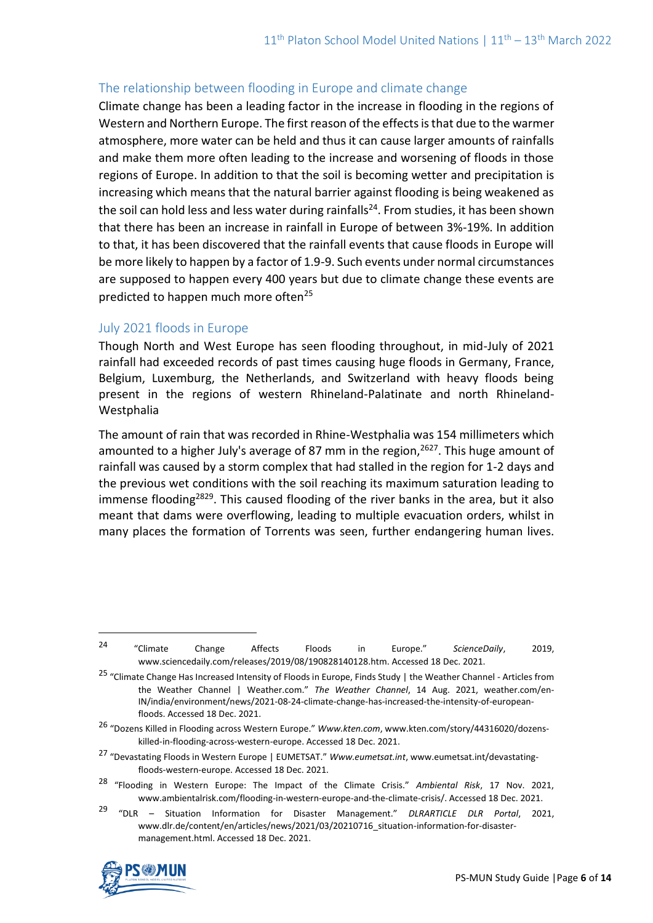# The relationship between flooding in Europe and climate change

Climate change has been a leading factor in the increase in flooding in the regions of Western and Northern Europe. The first reason of the effects is that due to the warmer atmosphere, more water can be held and thus it can cause larger amounts of rainfalls and make them more often leading to the increase and worsening of floods in those regions of Europe. In addition to that the soil is becoming wetter and precipitation is increasing which means that the natural barrier against flooding is being weakened as the soil can hold less and less water during rainfalls<sup>24</sup>. From studies, it has been shown that there has been an increase in rainfall in Europe of between 3%-19%. In addition to that, it has been discovered that the rainfall events that cause floods in Europe will be more likely to happen by a factor of 1.9-9. Such events under normal circumstances are supposed to happen every 400 years but due to climate change these events are predicted to happen much more often<sup>25</sup>

# July 2021 floods in Europe

Though North and West Europe has seen flooding throughout, in mid-July of 2021 rainfall had exceeded records of past times causing huge floods in Germany, France, Belgium, Luxemburg, the Netherlands, and Switzerland with heavy floods being present in the regions of western Rhineland-Palatinate and north Rhineland-Westphalia

The amount of rain that was recorded in Rhine-Westphalia was 154 millimeters which amounted to a higher July's average of 87 mm in the region, $2627$ . This huge amount of rainfall was caused by a storm complex that had stalled in the region for 1-2 days and the previous wet conditions with the soil reaching its maximum saturation leading to immense flooding<sup>2829</sup>. This caused flooding of the river banks in the area, but it also meant that dams were overflowing, leading to multiple evacuation orders, whilst in many places the formation of Torrents was seen, further endangering human lives.

<sup>29</sup> "DLR – Situation Information for Disaster Management." *DLRARTICLE DLR Portal*, 2021, www.dlr.de/content/en/articles/news/2021/03/20210716\_situation-information-for-disastermanagement.html. Accessed 18 Dec. 2021.



<sup>24</sup> "Climate Change Affects Floods in Europe." *ScienceDaily*, 2019, www.sciencedaily.com/releases/2019/08/190828140128.htm. Accessed 18 Dec. 2021.

<sup>&</sup>lt;sup>25</sup> "Climate Change Has Increased Intensity of Floods in Europe, Finds Study | the Weather Channel - Articles from the Weather Channel | Weather.com." *The Weather Channel*, 14 Aug. 2021, weather.com/en-IN/india/environment/news/2021-08-24-climate-change-has-increased-the-intensity-of-europeanfloods. Accessed 18 Dec. 2021.

<sup>26</sup> "Dozens Killed in Flooding across Western Europe." *Www.kten.com*, www.kten.com/story/44316020/dozenskilled-in-flooding-across-western-europe. Accessed 18 Dec. 2021.

<sup>27</sup> "Devastating Floods in Western Europe | EUMETSAT." *Www.eumetsat.int*, www.eumetsat.int/devastatingfloods-western-europe. Accessed 18 Dec. 2021.

<sup>28</sup> "Flooding in Western Europe: The Impact of the Climate Crisis." *Ambiental Risk*, 17 Nov. 2021, www.ambientalrisk.com/flooding-in-western-europe-and-the-climate-crisis/. Accessed 18 Dec. 2021.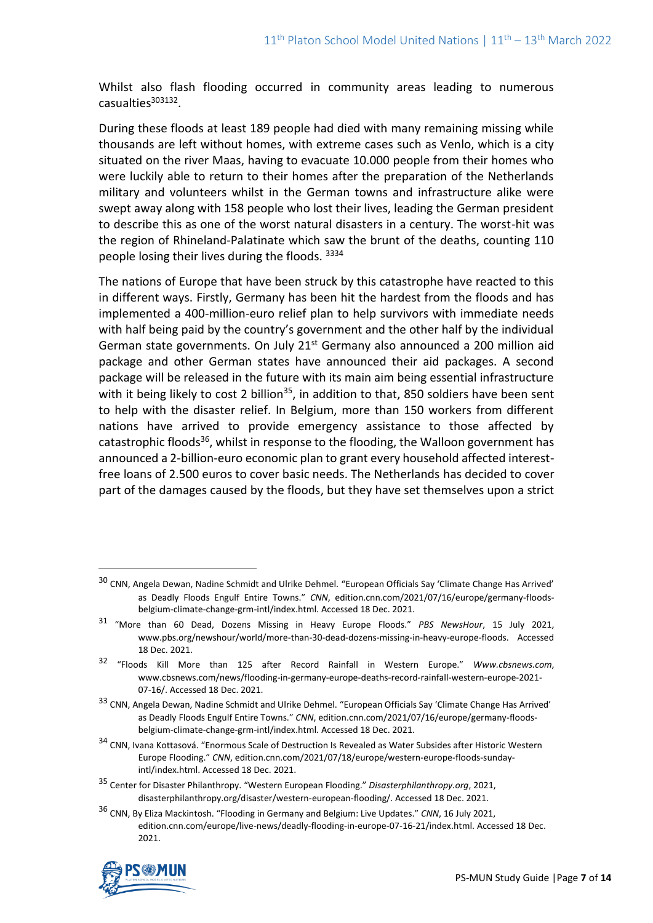Whilst also flash flooding occurred in community areas leading to numerous casualties<sup>303132</sup>.

During these floods at least 189 people had died with many remaining missing while thousands are left without homes, with extreme cases such as Venlo, which is a city situated on the river Maas, having to evacuate 10.000 people from their homes who were luckily able to return to their homes after the preparation of the Netherlands military and volunteers whilst in the German towns and infrastructure alike were swept away along with 158 people who lost their lives, leading the German president to describe this as one of the worst natural disasters in a century. The worst-hit was the region of Rhineland-Palatinate which saw the brunt of the deaths, counting 110 people losing their lives during the floods. <sup>3334</sup>

The nations of Europe that have been struck by this catastrophe have reacted to this in different ways. Firstly, Germany has been hit the hardest from the floods and has implemented a 400-million-euro relief plan to help survivors with immediate needs with half being paid by the country's government and the other half by the individual German state governments. On July  $21^{st}$  Germany also announced a 200 million aid package and other German states have announced their aid packages. A second package will be released in the future with its main aim being essential infrastructure with it being likely to cost 2 billion<sup>35</sup>, in addition to that, 850 soldiers have been sent to help with the disaster relief. In Belgium, more than 150 workers from different nations have arrived to provide emergency assistance to those affected by catastrophic floods<sup>36</sup>, whilst in response to the flooding, the Walloon government has announced a 2-billion-euro economic plan to grant every household affected interestfree loans of 2.500 euros to cover basic needs. The Netherlands has decided to cover part of the damages caused by the floods, but they have set themselves upon a strict

<sup>36</sup> CNN, By Eliza Mackintosh. "Flooding in Germany and Belgium: Live Updates." *CNN*, 16 July 2021, edition.cnn.com/europe/live-news/deadly-flooding-in-europe-07-16-21/index.html. Accessed 18 Dec. 2021.



<sup>30</sup> CNN, Angela Dewan, Nadine Schmidt and Ulrike Dehmel. "European Officials Say 'Climate Change Has Arrived' as Deadly Floods Engulf Entire Towns." *CNN*, edition.cnn.com/2021/07/16/europe/germany-floodsbelgium-climate-change-grm-intl/index.html. Accessed 18 Dec. 2021.

<sup>31</sup> "More than 60 Dead, Dozens Missing in Heavy Europe Floods." *PBS NewsHour*, 15 July 2021, www.pbs.org/newshour/world/more-than-30-dead-dozens-missing-in-heavy-europe-floods. Accessed 18 Dec. 2021.

<sup>32</sup> "Floods Kill More than 125 after Record Rainfall in Western Europe." *Www.cbsnews.com*, www.cbsnews.com/news/flooding-in-germany-europe-deaths-record-rainfall-western-europe-2021- 07-16/. Accessed 18 Dec. 2021.

<sup>33</sup> CNN, Angela Dewan, Nadine Schmidt and Ulrike Dehmel. "European Officials Say 'Climate Change Has Arrived' as Deadly Floods Engulf Entire Towns." *CNN*, edition.cnn.com/2021/07/16/europe/germany-floodsbelgium-climate-change-grm-intl/index.html. Accessed 18 Dec. 2021.

<sup>34</sup> CNN, Ivana Kottasová. "Enormous Scale of Destruction Is Revealed as Water Subsides after Historic Western Europe Flooding." *CNN*, edition.cnn.com/2021/07/18/europe/western-europe-floods-sundayintl/index.html. Accessed 18 Dec. 2021.

<sup>35</sup> Center for Disaster Philanthropy. "Western European Flooding." *Disasterphilanthropy.org*, 2021, disasterphilanthropy.org/disaster/western-european-flooding/. Accessed 18 Dec. 2021.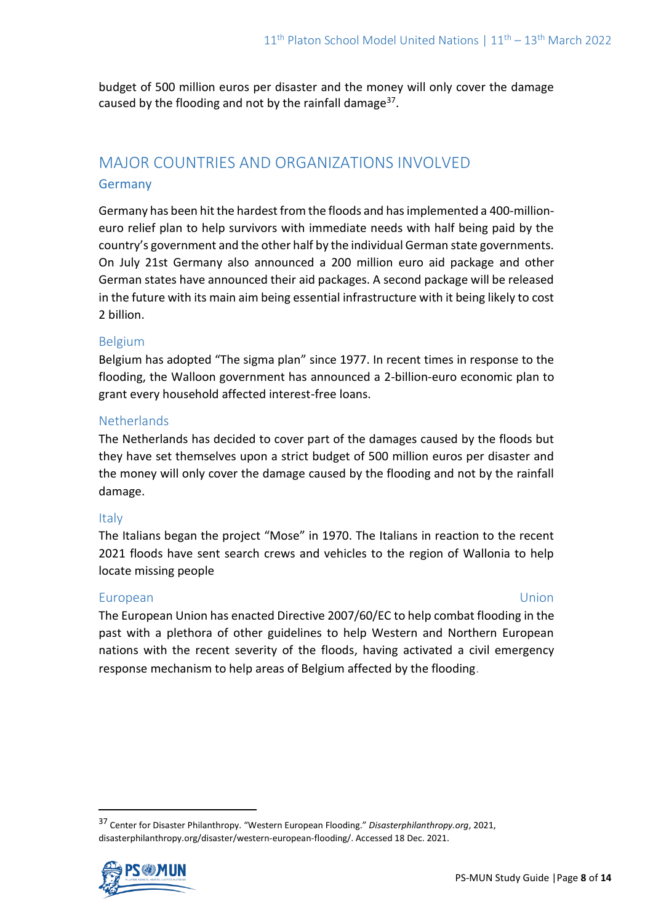budget of 500 million euros per disaster and the money will only cover the damage caused by the flooding and not by the rainfall damage $37$ .

# MAJOR COUNTRIES AND ORGANIZATIONS INVOLVED Germany

Germany has been hit the hardest from the floods and has implemented a 400-millioneuro relief plan to help survivors with immediate needs with half being paid by the country's government and the other half by the individual German state governments. On July 21st Germany also announced a 200 million euro aid package and other German states have announced their aid packages. A second package will be released in the future with its main aim being essential infrastructure with it being likely to cost 2 billion.

# Belgium

Belgium has adopted "The sigma plan" since 1977. In recent times in response to the flooding, the Walloon government has announced a 2-billion-euro economic plan to grant every household affected interest-free loans.

## **Netherlands**

The Netherlands has decided to cover part of the damages caused by the floods but they have set themselves upon a strict budget of 500 million euros per disaster and the money will only cover the damage caused by the flooding and not by the rainfall damage.

## Italy

The Italians began the project "Mose" in 1970. The Italians in reaction to the recent 2021 floods have sent search crews and vehicles to the region of Wallonia to help locate missing people

## European Union

The European Union has enacted Directive 2007/60/EC to help combat flooding in the past with a plethora of other guidelines to help Western and Northern European nations with the recent severity of the floods, having activated a civil emergency response mechanism to help areas of Belgium affected by the flooding.

<sup>37</sup> Center for Disaster Philanthropy. "Western European Flooding." *Disasterphilanthropy.org*, 2021, disasterphilanthropy.org/disaster/western-european-flooding/. Accessed 18 Dec. 2021.

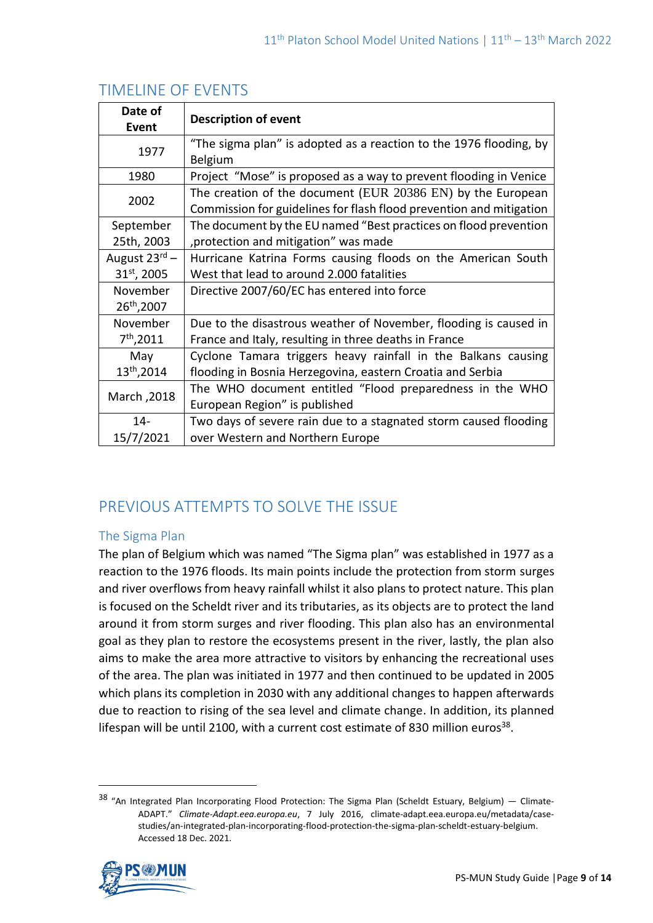| Date of                   | <b>Description of event</b>                                         |
|---------------------------|---------------------------------------------------------------------|
| Event                     |                                                                     |
| 1977                      | "The sigma plan" is adopted as a reaction to the 1976 flooding, by  |
|                           | Belgium                                                             |
| 1980                      | Project "Mose" is proposed as a way to prevent flooding in Venice   |
| 2002                      | The creation of the document (EUR 20386 EN) by the European         |
|                           | Commission for guidelines for flash flood prevention and mitigation |
| September                 | The document by the EU named "Best practices on flood prevention    |
| 25th, 2003                | , protection and mitigation" was made                               |
| August $23^{\text{rd}}$ – | Hurricane Katrina Forms causing floods on the American South        |
| 31 <sup>st</sup> , 2005   | West that lead to around 2,000 fatalities                           |
| November                  | Directive 2007/60/EC has entered into force                         |
| 26 <sup>th</sup> , 2007   |                                                                     |
| November                  | Due to the disastrous weather of November, flooding is caused in    |
| $7th$ ,2011               | France and Italy, resulting in three deaths in France               |
| May                       | Cyclone Tamara triggers heavy rainfall in the Balkans causing       |
| 13 <sup>th</sup> ,2014    | flooding in Bosnia Herzegovina, eastern Croatia and Serbia          |
| March, 2018               | The WHO document entitled "Flood preparedness in the WHO            |
|                           | European Region" is published                                       |
| $14 -$                    | Two days of severe rain due to a stagnated storm caused flooding    |
| 15/7/2021                 | over Western and Northern Europe                                    |

# TIMELINE OF EVENTS

# PREVIOUS ATTEMPTS TO SOLVE THE ISSUE

# The Sigma Plan

The plan of Belgium which was named "The Sigma plan" was established in 1977 as a reaction to the 1976 floods. Its main points include the protection from storm surges and river overflows from heavy rainfall whilst it also plans to protect nature. This plan is focused on the Scheldt river and its tributaries, as its objects are to protect the land around it from storm surges and river flooding. This plan also has an environmental goal as they plan to restore the ecosystems present in the river, lastly, the plan also aims to make the area more attractive to visitors by enhancing the recreational uses of the area. The plan was initiated in 1977 and then continued to be updated in 2005 which plans its completion in 2030 with any additional changes to happen afterwards due to reaction to rising of the sea level and climate change. In addition, its planned lifespan will be until 2100, with a current cost estimate of 830 million euros<sup>38</sup>.

<sup>&</sup>lt;sup>38</sup> "An Integrated Plan Incorporating Flood Protection: The Sigma Plan (Scheldt Estuary, Belgium) — Climate-ADAPT." *Climate-Adapt.eea.europa.eu*, 7 July 2016, climate-adapt.eea.europa.eu/metadata/casestudies/an-integrated-plan-incorporating-flood-protection-the-sigma-plan-scheldt-estuary-belgium. Accessed 18 Dec. 2021.

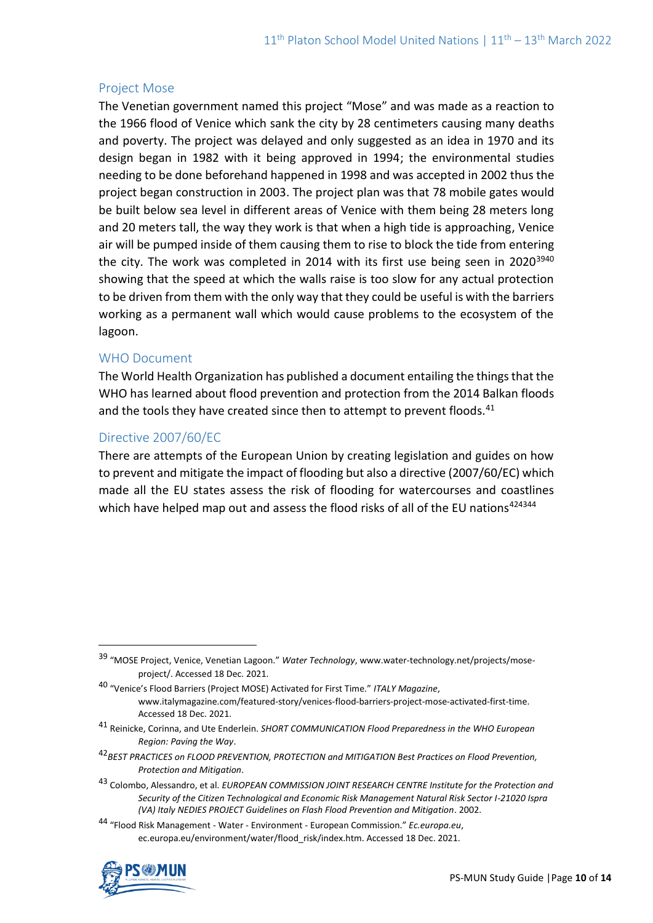## Project Mose

The Venetian government named this project "Mose" and was made as a reaction to the 1966 flood of Venice which sank the city by 28 centimeters causing many deaths and poverty. The project was delayed and only suggested as an idea in 1970 and its design began in 1982 with it being approved in 1994; the environmental studies needing to be done beforehand happened in 1998 and was accepted in 2002 thus the project began construction in 2003. The project plan was that 78 mobile gates would be built below sea level in different areas of Venice with them being 28 meters long and 20 meters tall, the way they work is that when a high tide is approaching, Venice air will be pumped inside of them causing them to rise to block the tide from entering the city. The work was completed in 2014 with its first use being seen in 2020<sup>3940</sup> showing that the speed at which the walls raise is too slow for any actual protection to be driven from them with the only way that they could be useful is with the barriers working as a permanent wall which would cause problems to the ecosystem of the lagoon.

## WHO Document

The World Health Organization has published a document entailing the things that the WHO has learned about flood prevention and protection from the 2014 Balkan floods and the tools they have created since then to attempt to prevent floods.<sup>41</sup>

## Directive 2007/60/EC

There are attempts of the European Union by creating legislation and guides on how to prevent and mitigate the impact of flooding but also a directive (2007/60/EC) which made all the EU states assess the risk of flooding for watercourses and coastlines which have helped map out and assess the flood risks of all of the EU nations<sup>424344</sup>

<sup>44</sup> "Flood Risk Management - Water - Environment - European Commission." *Ec.europa.eu*, ec.europa.eu/environment/water/flood\_risk/index.htm. Accessed 18 Dec. 2021.



<sup>39</sup> "MOSE Project, Venice, Venetian Lagoon." *Water Technology*, www.water-technology.net/projects/moseproject/. Accessed 18 Dec. 2021.

<sup>40</sup> "Venice's Flood Barriers (Project MOSE) Activated for First Time." *ITALY Magazine*, www.italymagazine.com/featured-story/venices-flood-barriers-project-mose-activated-first-time. Accessed 18 Dec. 2021.

<sup>41</sup> Reinicke, Corinna, and Ute Enderlein. *SHORT COMMUNICATION Flood Preparedness in the WHO European Region: Paving the Way*.

<sup>42</sup>*BEST PRACTICES on FLOOD PREVENTION, PROTECTION and MITIGATION Best Practices on Flood Prevention, Protection and Mitigation*.

<sup>43</sup> Colombo, Alessandro, et al. *EUROPEAN COMMISSION JOINT RESEARCH CENTRE Institute for the Protection and Security of the Citizen Technological and Economic Risk Management Natural Risk Sector I-21020 Ispra (VA) Italy NEDIES PROJECT Guidelines on Flash Flood Prevention and Mitigation*. 2002.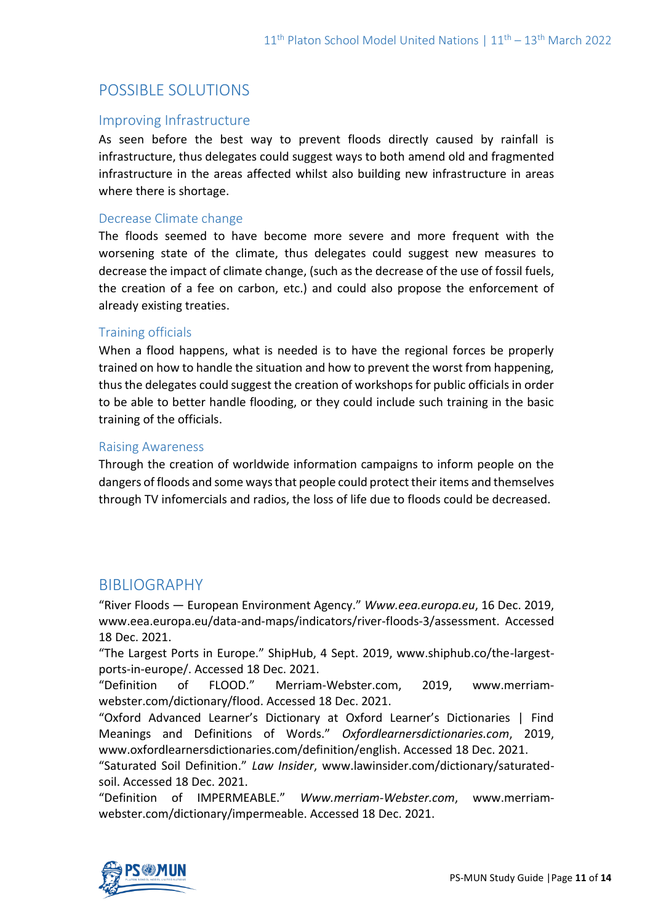# POSSIBLE SOLUTIONS

# Improving Infrastructure

As seen before the best way to prevent floods directly caused by rainfall is infrastructure, thus delegates could suggest ways to both amend old and fragmented infrastructure in the areas affected whilst also building new infrastructure in areas where there is shortage.

# Decrease Climate change

The floods seemed to have become more severe and more frequent with the worsening state of the climate, thus delegates could suggest new measures to decrease the impact of climate change, (such as the decrease of the use of fossil fuels, the creation of a fee on carbon, etc.) and could also propose the enforcement of already existing treaties.

## Training officials

When a flood happens, what is needed is to have the regional forces be properly trained on how to handle the situation and how to prevent the worst from happening, thus the delegates could suggest the creation of workshops for public officials in order to be able to better handle flooding, or they could include such training in the basic training of the officials.

#### Raising Awareness

Through the creation of worldwide information campaigns to inform people on the dangers of floods and some ways that people could protect their items and themselves through TV infomercials and radios, the loss of life due to floods could be decreased.

# BIBLIOGRAPHY

"River Floods — European Environment Agency." *Www.eea.europa.eu*, 16 Dec. 2019, www.eea.europa.eu/data-and-maps/indicators/river-floods-3/assessment. Accessed 18 Dec. 2021.

"The Largest Ports in Europe." ShipHub, 4 Sept. 2019, www.shiphub.co/the-largestports-in-europe/. Accessed 18 Dec. 2021.

"Definition of FLOOD." Merriam-Webster.com, 2019, www.merriamwebster.com/dictionary/flood. Accessed 18 Dec. 2021.

"Oxford Advanced Learner's Dictionary at Oxford Learner's Dictionaries | Find Meanings and Definitions of Words." *Oxfordlearnersdictionaries.com*, 2019, www.oxfordlearnersdictionaries.com/definition/english. Accessed 18 Dec. 2021.

"Saturated Soil Definition." *Law Insider*, www.lawinsider.com/dictionary/saturatedsoil. Accessed 18 Dec. 2021.

"Definition of IMPERMEABLE." *Www.merriam-Webster.com*, www.merriamwebster.com/dictionary/impermeable. Accessed 18 Dec. 2021.

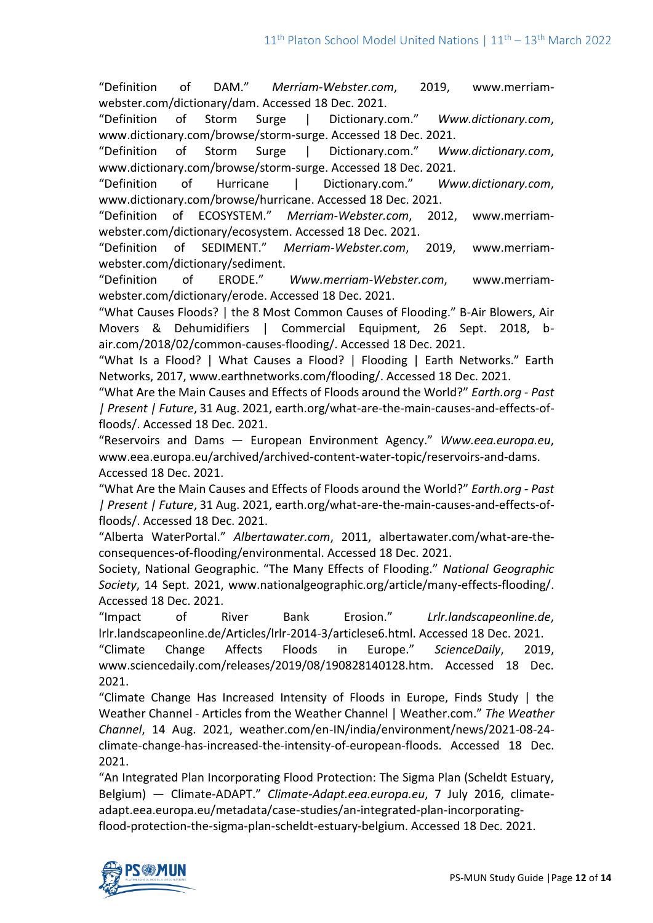"Definition of DAM." *Merriam-Webster.com*, 2019, www.merriamwebster.com/dictionary/dam. Accessed 18 Dec. 2021.

"Definition of Storm Surge | Dictionary.com." *Www.dictionary.com*, www.dictionary.com/browse/storm-surge. Accessed 18 Dec. 2021.

"Definition of Storm Surge | Dictionary.com." *Www.dictionary.com*, www.dictionary.com/browse/storm-surge. Accessed 18 Dec. 2021.

"Definition of Hurricane | Dictionary.com." *Www.dictionary.com*, www.dictionary.com/browse/hurricane. Accessed 18 Dec. 2021.

"Definition of ECOSYSTEM." *Merriam-Webster.com*, 2012, www.merriamwebster.com/dictionary/ecosystem. Accessed 18 Dec. 2021.

"Definition of SEDIMENT." *Merriam-Webster.com*, 2019, www.merriamwebster.com/dictionary/sediment.

"Definition of ERODE." *Www.merriam-Webster.com*, www.merriamwebster.com/dictionary/erode. Accessed 18 Dec. 2021.

"What Causes Floods? | the 8 Most Common Causes of Flooding." B-Air Blowers, Air Movers & Dehumidifiers | Commercial Equipment, 26 Sept. 2018, bair.com/2018/02/common-causes-flooding/. Accessed 18 Dec. 2021.

"What Is a Flood? | What Causes a Flood? | Flooding | Earth Networks." Earth Networks, 2017, www.earthnetworks.com/flooding/. Accessed 18 Dec. 2021.

"What Are the Main Causes and Effects of Floods around the World?" *Earth.org - Past | Present | Future*, 31 Aug. 2021, earth.org/what-are-the-main-causes-and-effects-offloods/. Accessed 18 Dec. 2021.

"Reservoirs and Dams — European Environment Agency." *Www.eea.europa.eu*, www.eea.europa.eu/archived/archived-content-water-topic/reservoirs-and-dams. Accessed 18 Dec. 2021.

"What Are the Main Causes and Effects of Floods around the World?" *Earth.org - Past | Present | Future*, 31 Aug. 2021, earth.org/what-are-the-main-causes-and-effects-offloods/. Accessed 18 Dec. 2021.

"Alberta WaterPortal." *Albertawater.com*, 2011, albertawater.com/what-are-theconsequences-of-flooding/environmental. Accessed 18 Dec. 2021.

Society, National Geographic. "The Many Effects of Flooding." *National Geographic Society*, 14 Sept. 2021, www.nationalgeographic.org/article/many-effects-flooding/. Accessed 18 Dec. 2021.

"Impact of River Bank Erosion." *Lrlr.landscapeonline.de*, lrlr.landscapeonline.de/Articles/lrlr-2014-3/articlese6.html. Accessed 18 Dec. 2021.

"Climate Change Affects Floods in Europe." *ScienceDaily*, 2019, www.sciencedaily.com/releases/2019/08/190828140128.htm. Accessed 18 Dec. 2021.

"Climate Change Has Increased Intensity of Floods in Europe, Finds Study | the Weather Channel - Articles from the Weather Channel | Weather.com." *The Weather Channel*, 14 Aug. 2021, weather.com/en-IN/india/environment/news/2021-08-24 climate-change-has-increased-the-intensity-of-european-floods. Accessed 18 Dec. 2021.

"An Integrated Plan Incorporating Flood Protection: The Sigma Plan (Scheldt Estuary, Belgium) — Climate-ADAPT." *Climate-Adapt.eea.europa.eu*, 7 July 2016, climateadapt.eea.europa.eu/metadata/case-studies/an-integrated-plan-incorporatingflood-protection-the-sigma-plan-scheldt-estuary-belgium. Accessed 18 Dec. 2021.

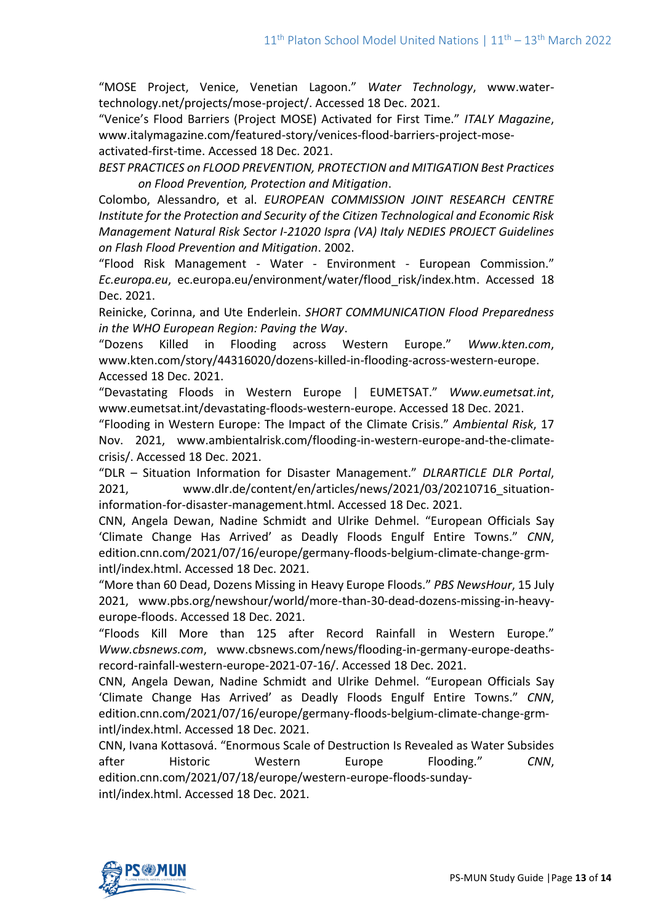"MOSE Project, Venice, Venetian Lagoon." *Water Technology*, www.watertechnology.net/projects/mose-project/. Accessed 18 Dec. 2021.

"Venice's Flood Barriers (Project MOSE) Activated for First Time." *ITALY Magazine*, www.italymagazine.com/featured-story/venices-flood-barriers-project-moseactivated-first-time. Accessed 18 Dec. 2021.

*BEST PRACTICES on FLOOD PREVENTION, PROTECTION and MITIGATION Best Practices on Flood Prevention, Protection and Mitigation*.

Colombo, Alessandro, et al. *EUROPEAN COMMISSION JOINT RESEARCH CENTRE Institute for the Protection and Security of the Citizen Technological and Economic Risk Management Natural Risk Sector I-21020 Ispra (VA) Italy NEDIES PROJECT Guidelines on Flash Flood Prevention and Mitigation*. 2002.

"Flood Risk Management - Water - Environment - European Commission." *Ec.europa.eu*, ec.europa.eu/environment/water/flood\_risk/index.htm. Accessed 18 Dec. 2021.

Reinicke, Corinna, and Ute Enderlein. *SHORT COMMUNICATION Flood Preparedness in the WHO European Region: Paving the Way*.

"Dozens Killed in Flooding across Western Europe." *Www.kten.com*, www.kten.com/story/44316020/dozens-killed-in-flooding-across-western-europe. Accessed 18 Dec. 2021.

"Devastating Floods in Western Europe | EUMETSAT." *Www.eumetsat.int*, www.eumetsat.int/devastating-floods-western-europe. Accessed 18 Dec. 2021.

"Flooding in Western Europe: The Impact of the Climate Crisis." *Ambiental Risk*, 17 Nov. 2021, www.ambientalrisk.com/flooding-in-western-europe-and-the-climatecrisis/. Accessed 18 Dec. 2021.

"DLR – Situation Information for Disaster Management." *DLRARTICLE DLR Portal*, 2021, www.dlr.de/content/en/articles/news/2021/03/20210716\_situationinformation-for-disaster-management.html. Accessed 18 Dec. 2021.

CNN, Angela Dewan, Nadine Schmidt and Ulrike Dehmel. "European Officials Say 'Climate Change Has Arrived' as Deadly Floods Engulf Entire Towns." *CNN*, edition.cnn.com/2021/07/16/europe/germany-floods-belgium-climate-change-grmintl/index.html. Accessed 18 Dec. 2021.

"More than 60 Dead, Dozens Missing in Heavy Europe Floods." *PBS NewsHour*, 15 July 2021, www.pbs.org/newshour/world/more-than-30-dead-dozens-missing-in-heavyeurope-floods. Accessed 18 Dec. 2021.

"Floods Kill More than 125 after Record Rainfall in Western Europe." *Www.cbsnews.com*, www.cbsnews.com/news/flooding-in-germany-europe-deathsrecord-rainfall-western-europe-2021-07-16/. Accessed 18 Dec. 2021.

CNN, Angela Dewan, Nadine Schmidt and Ulrike Dehmel. "European Officials Say 'Climate Change Has Arrived' as Deadly Floods Engulf Entire Towns." *CNN*, edition.cnn.com/2021/07/16/europe/germany-floods-belgium-climate-change-grmintl/index.html. Accessed 18 Dec. 2021.

CNN, Ivana Kottasová. "Enormous Scale of Destruction Is Revealed as Water Subsides after Historic Western Europe Flooding." *CNN*, edition.cnn.com/2021/07/18/europe/western-europe-floods-sundayintl/index.html. Accessed 18 Dec. 2021.